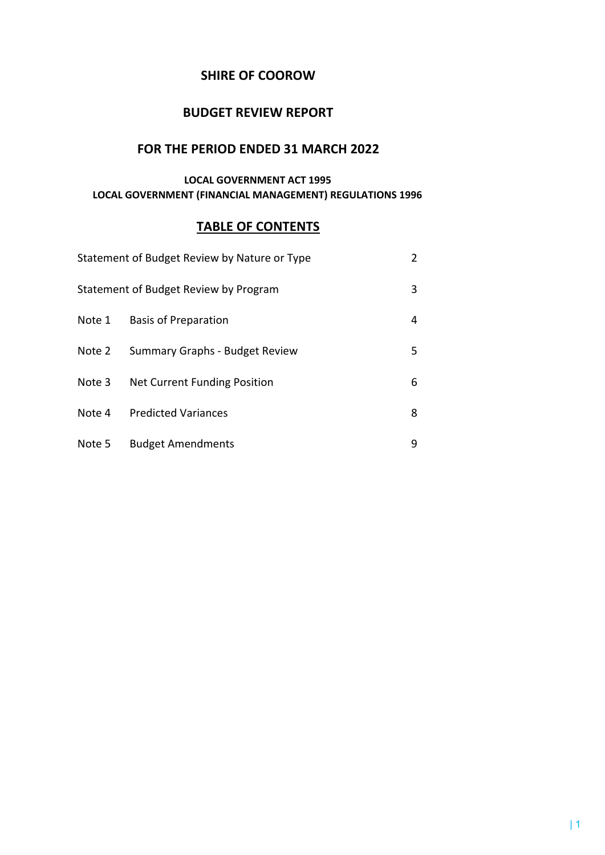## **SHIRE OF COOROW**

## **BUDGET REVIEW REPORT**

## **FOR THE PERIOD ENDED 31 MARCH 2022**

## **LOCAL GOVERNMENT ACT 1995 LOCAL GOVERNMENT (FINANCIAL MANAGEMENT) REGULATIONS 1996**

## **TABLE OF CONTENTS**

|        | Statement of Budget Review by Nature or Type |   |
|--------|----------------------------------------------|---|
|        | Statement of Budget Review by Program        | 3 |
| Note 1 | <b>Basis of Preparation</b>                  | 4 |
| Note 2 | Summary Graphs - Budget Review               | 5 |
| Note 3 | Net Current Funding Position                 | 6 |
| Note 4 | <b>Predicted Variances</b>                   | 8 |
| Note 5 | <b>Budget Amendments</b>                     | ٩ |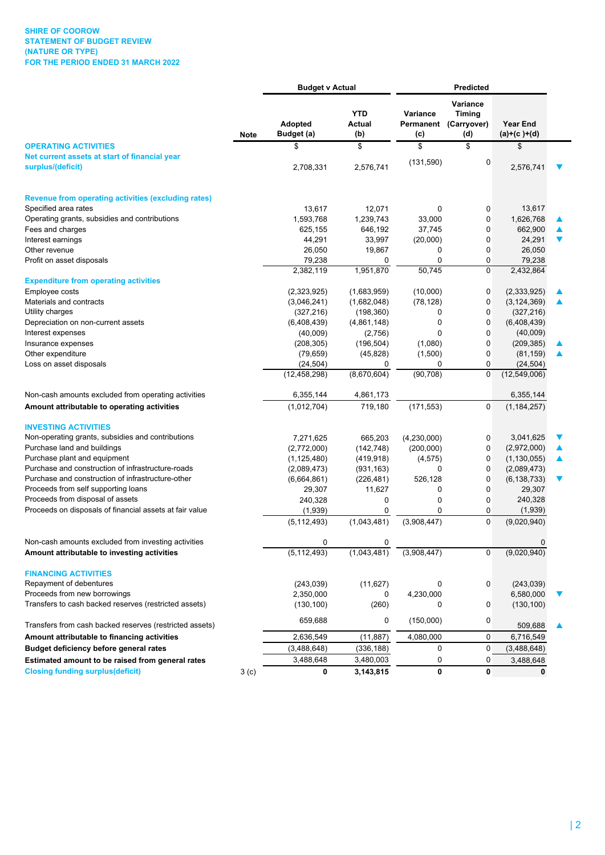|                                                                                   |                  | <b>Budget v Actual</b> |                             | <b>Predicted</b> |                                                    |                                  |                      |
|-----------------------------------------------------------------------------------|------------------|------------------------|-----------------------------|------------------|----------------------------------------------------|----------------------------------|----------------------|
|                                                                                   | <b>Note</b>      | Adopted<br>Budget (a)  | <b>YTD</b><br>Actual<br>(b) | Variance<br>(c)  | Variance<br>Timina<br>Permanent (Carryover)<br>(d) | <b>Year End</b><br>$(a)+(c)+(d)$ |                      |
| <b>OPERATING ACTIVITIES</b>                                                       |                  | \$                     | \$                          | \$               | \$                                                 | \$                               |                      |
| Net current assets at start of financial year<br>surplus/(deficit)                |                  | 2,708,331              | 2,576,741                   | (131,590)        | 0                                                  | 2,576,741                        |                      |
| <b>Revenue from operating activities (excluding rates)</b>                        |                  |                        |                             |                  |                                                    |                                  |                      |
| Specified area rates                                                              |                  | 13,617                 | 12,071                      | $\mathbf 0$      | 0                                                  | 13,617                           |                      |
| Operating grants, subsidies and contributions                                     |                  | 1,593,768              | 1,239,743                   | 33,000           | 0                                                  | 1,626,768                        |                      |
| Fees and charges                                                                  |                  | 625,155                | 646,192                     | 37,745           | 0                                                  | 662,900                          |                      |
| Interest earnings                                                                 |                  | 44,291                 | 33,997                      | (20,000)         | 0                                                  | 24,291                           | $\blacktriangledown$ |
| Other revenue                                                                     |                  | 26,050                 | 19,867                      | 0                | 0                                                  | 26,050                           |                      |
| Profit on asset disposals                                                         |                  | 79,238                 | 0                           | 0                | 0                                                  | 79,238                           |                      |
| <b>Expenditure from operating activities</b>                                      |                  | 2,382,119              | 1,951,870                   | 50,745           | 0                                                  | 2,432,864                        |                      |
| Employee costs                                                                    |                  | (2,323,925)            | (1,683,959)                 | (10,000)         | 0                                                  | (2,333,925)                      |                      |
| Materials and contracts                                                           |                  | (3,046,241)            | (1,682,048)                 | (78, 128)        | 0                                                  | (3, 124, 369)                    |                      |
| Utility charges                                                                   |                  | (327, 216)             | (198, 360)                  | 0                | 0                                                  | (327, 216)                       |                      |
| Depreciation on non-current assets                                                |                  | (6,408,439)            | (4,861,148)                 | 0                | 0                                                  | (6,408,439)                      |                      |
| Interest expenses                                                                 |                  | (40,009)               | (2,756)                     | 0                | 0                                                  | (40,009)                         |                      |
| Insurance expenses                                                                |                  | (208, 305)             | (196, 504)                  | (1,080)          | 0                                                  | (209, 385)                       |                      |
| Other expenditure                                                                 |                  | (79, 659)              | (45, 828)                   | (1,500)          | 0                                                  | (81, 159)                        |                      |
| Loss on asset disposals                                                           |                  | (24, 504)              | 0                           | 0                | 0                                                  | (24, 504)                        |                      |
|                                                                                   |                  | (12, 458, 298)         | (8,670,604)                 | (90, 708)        | 0                                                  | (12,549,006)                     |                      |
| Non-cash amounts excluded from operating activities                               |                  | 6,355,144              | 4,861,173                   |                  |                                                    | 6,355,144                        |                      |
| Amount attributable to operating activities                                       |                  | (1,012,704)            | 719,180                     | (171, 553)       | 0                                                  | (1, 184, 257)                    |                      |
| <b>INVESTING ACTIVITIES</b>                                                       |                  |                        |                             |                  |                                                    |                                  |                      |
| Non-operating grants, subsidies and contributions                                 |                  | 7,271,625              | 665,203                     | (4,230,000)      | 0                                                  | 3,041,625                        |                      |
| Purchase land and buildings                                                       |                  | (2,772,000)            | (142, 748)                  | (200,000)        | 0                                                  | (2,972,000)                      |                      |
| Purchase plant and equipment<br>Purchase and construction of infrastructure-roads |                  | (1, 125, 480)          | (419, 918)                  | (4, 575)         | 0                                                  | (1, 130, 055)                    | ▲                    |
| Purchase and construction of infrastructure-other                                 |                  | (2,089,473)            | (931, 163)                  | 0<br>526,128     | 0<br>0                                             | (2,089,473)                      | $\blacktriangledown$ |
| Proceeds from self supporting loans                                               |                  | (6,664,861)<br>29,307  | (226, 481)<br>11,627        | 0                | 0                                                  | (6, 138, 733)<br>29,307          |                      |
| Proceeds from disposal of assets                                                  |                  | 240,328                | 0                           | 0                | 0                                                  | 240,328                          |                      |
| Proceeds on disposals of financial assets at fair value                           |                  | (1,939)                | 0                           | 0                | 0                                                  | (1,939)                          |                      |
|                                                                                   |                  | (5, 112, 493)          | (1,043,481)                 | (3,908,447)      | 0                                                  | (9,020,940)                      |                      |
| Non-cash amounts excluded from investing activities                               |                  | 0                      | 0                           |                  |                                                    | 0                                |                      |
| Amount attributable to investing activities                                       |                  | (5, 112, 493)          | (1,043,481)                 | (3,908,447)      | 0                                                  | (9,020,940)                      |                      |
| <b>FINANCING ACTIVITIES</b>                                                       |                  |                        |                             |                  |                                                    |                                  |                      |
| Repayment of debentures                                                           |                  | (243, 039)             | (11, 627)                   | 0                | 0                                                  | (243, 039)                       |                      |
| Proceeds from new borrowings                                                      |                  | 2,350,000              | 0                           | 4,230,000        |                                                    | 6,580,000                        |                      |
| Transfers to cash backed reserves (restricted assets)                             |                  | (130, 100)             | (260)                       | 0                | 0                                                  | (130, 100)                       |                      |
| Transfers from cash backed reserves (restricted assets)                           |                  | 659,688                | 0                           | (150,000)        | 0                                                  | 509,688                          |                      |
| Amount attributable to financing activities                                       |                  | 2,636,549              | (11, 887)                   | 4,080,000        | 0                                                  | 6,716,549                        |                      |
| Budget deficiency before general rates                                            |                  | (3,488,648)            | (336, 188)                  | 0                | 0                                                  | (3,488,648)                      |                      |
| Estimated amount to be raised from general rates                                  |                  | 3,488,648              | 3,480,003                   | 0                | 0                                                  | 3,488,648                        |                      |
| <b>Closing funding surplus(deficit)</b>                                           | 3 <sub>(c)</sub> | 0                      | 3,143,815                   | 0                | 0                                                  | 0                                |                      |

 $\overline{\phantom{0}}$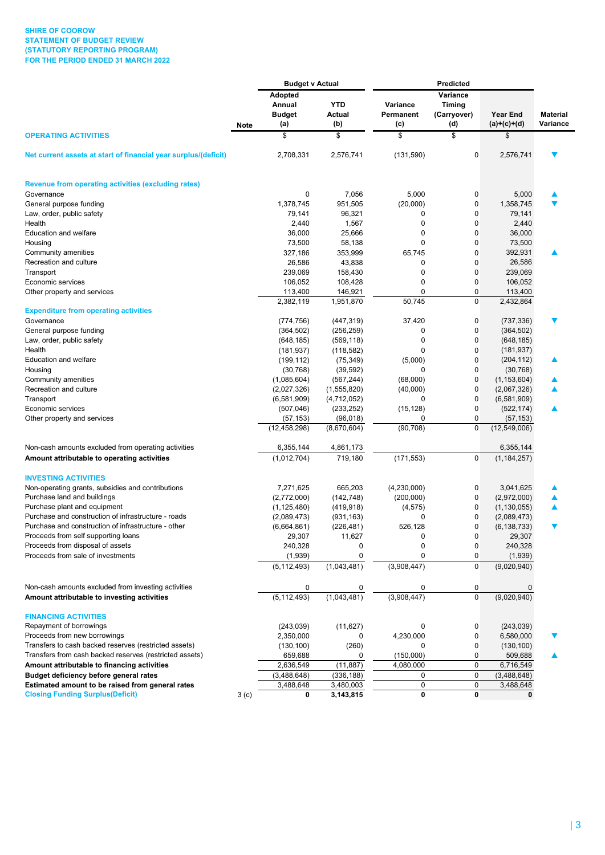### **SHIRE OF COOROW STATEMENT OF BUDGET REVIEW (STATUTORY REPORTING PROGRAM) FOR THE PERIOD ENDED 31 MARCH 2022**

|                                                                       |                  | <b>Budget v Actual</b>   |                  |                  |                           |                           |                             |
|-----------------------------------------------------------------------|------------------|--------------------------|------------------|------------------|---------------------------|---------------------------|-----------------------------|
|                                                                       |                  | Adopted<br>Annual        | <b>YTD</b>       | Variance         | Variance<br><b>Timing</b> |                           |                             |
|                                                                       | Note             | <b>Budget</b><br>(a)     | Actual<br>(b)    | Permanent<br>(c) | (Carryover)<br>(d)        | Year End<br>$(a)+(c)+(d)$ | <b>Material</b><br>Variance |
| <b>OPERATING ACTIVITIES</b>                                           |                  | \$                       | \$               | \$               | \$                        | S                         |                             |
| Net current assets at start of financial year surplus/(deficit)       |                  | 2,708,331                | 2,576,741        | (131, 590)       | 0                         | 2,576,741                 |                             |
| <b>Revenue from operating activities (excluding rates)</b>            |                  |                          |                  |                  |                           |                           |                             |
| Governance                                                            |                  | 0                        | 7,056            | 5,000            | 0                         | 5,000                     |                             |
| General purpose funding                                               |                  | 1,378,745                | 951,505          | (20,000)         | 0                         | 1,358,745                 |                             |
| Law, order, public safety                                             |                  | 79,141                   | 96,321           | 0                | 0                         | 79,141                    |                             |
| Health                                                                |                  | 2,440                    | 1,567            | 0                | $\mathbf 0$               | 2,440                     |                             |
| Education and welfare                                                 |                  | 36,000                   | 25,666           | 0                | 0                         | 36,000                    |                             |
| Housing                                                               |                  | 73,500                   | 58,138           | 0                | 0                         | 73,500                    |                             |
| Community amenities                                                   |                  | 327,186                  | 353,999          | 65,745           | 0                         | 392,931                   | ▲                           |
| Recreation and culture                                                |                  | 26,586                   | 43,838           | 0                | 0                         | 26,586                    |                             |
| Transport                                                             |                  | 239,069                  | 158,430          | 0                | $\mathbf 0$               | 239,069                   |                             |
| Economic services                                                     |                  | 106,052                  | 108,428          | 0                | 0                         | 106,052                   |                             |
| Other property and services                                           |                  | 113,400                  | 146,921          | $\mathbf 0$      | 0                         | 113,400                   |                             |
| <b>Expenditure from operating activities</b>                          |                  | 2,382,119                | 1,951,870        | 50,745           | 0                         | 2,432,864                 |                             |
| Governance                                                            |                  | (774, 756)               | (447, 319)       | 37,420           | 0                         | (737, 336)                |                             |
| General purpose funding                                               |                  | (364, 502)               | (256, 259)       | 0                | 0                         | (364, 502)                |                             |
| Law, order, public safety                                             |                  | (648, 185)               | (569, 118)       | 0                | 0                         | (648, 185)                |                             |
| Health                                                                |                  | (181, 937)               | (118, 582)       | 0                | $\mathbf 0$               | (181, 937)                |                             |
| Education and welfare                                                 |                  | (199, 112)               | (75, 349)        | (5,000)          | 0                         | (204, 112)                |                             |
| Housing                                                               |                  | (30, 768)                | (39, 592)        | $\Omega$         | $\mathbf 0$               | (30, 768)                 |                             |
| Community amenities                                                   |                  | (1,085,604)              | (567, 244)       | (68,000)         | 0                         | (1, 153, 604)             |                             |
| Recreation and culture                                                |                  | (2,027,326)              | (1,555,820)      | (40,000)         | 0                         | (2,067,326)               |                             |
| Transport                                                             |                  | (6,581,909)              | (4,712,052)      | 0                | $\mathbf 0$               | (6,581,909)               |                             |
| Economic services                                                     |                  | (507, 046)               | (233, 252)       | (15, 128)        | 0                         | (522, 174)                |                             |
| Other property and services                                           |                  | (57, 153)                | (96, 018)        | 0                | 0                         | (57, 153)                 |                             |
|                                                                       |                  | (12, 458, 298)           | (8,670,604)      | (90, 708)        | 0                         | (12,549,006)              |                             |
| Non-cash amounts excluded from operating activities                   |                  | 6,355,144                | 4,861,173        |                  |                           | 6,355,144                 |                             |
| Amount attributable to operating activities                           |                  | (1,012,704)              | 719,180          | (171, 553)       | $\mathbf 0$               | (1, 184, 257)             |                             |
| <b>INVESTING ACTIVITIES</b>                                           |                  |                          |                  |                  |                           |                           |                             |
| Non-operating grants, subsidies and contributions                     |                  | 7,271,625                | 665,203          | (4,230,000)      | 0                         | 3,041,625                 |                             |
| Purchase land and buildings                                           |                  | (2,772,000)              | (142, 748)       | (200,000)        | 0                         | (2,972,000)               |                             |
| Purchase plant and equipment                                          |                  | (1, 125, 480)            | (419, 918)       | (4, 575)         | 0                         | (1, 130, 055)             |                             |
| Purchase and construction of infrastructure - roads                   |                  | (2,089,473)              | (931, 163)       | 0                | 0                         | (2,089,473)               |                             |
| Purchase and construction of infrastructure - other                   |                  | (6,664,861)              | (226, 481)       | 526,128          | 0                         | (6, 138, 733)             | ▼                           |
| Proceeds from self supporting loans                                   |                  | 29,307                   | 11,627           | 0                | 0                         | 29,307                    |                             |
| Proceeds from disposal of assets<br>Proceeds from sale of investments |                  | 240,328                  | 0                | 0                | 0                         | 240,328                   |                             |
|                                                                       |                  | (1,939)<br>(5, 112, 493) | 0<br>(1,043,481) | 0<br>(3,908,447) | 0<br>$\Omega$             | (1,939)<br>(9,020,940)    |                             |
| Non-cash amounts excluded from investing activities                   |                  | 0                        | 0                | 0                | 0                         | 0                         |                             |
| Amount attributable to investing activities                           |                  | (5, 112, 493)            | (1,043,481)      | (3,908,447)      | 0                         | (9,020,940)               |                             |
| <b>FINANCING ACTIVITIES</b>                                           |                  |                          |                  |                  |                           |                           |                             |
| Repayment of borrowings                                               |                  | (243, 039)               | (11, 627)        | 0                | 0                         | (243, 039)                |                             |
| Proceeds from new borrowings                                          |                  | 2,350,000                | 0                | 4,230,000        | 0                         | 6,580,000                 |                             |
| Transfers to cash backed reserves (restricted assets)                 |                  | (130, 100)               | (260)            | 0                | 0                         | (130, 100)                |                             |
| Transfers from cash backed reserves (restricted assets)               |                  | 659,688                  | 0                | (150,000)        | 0                         | 509,688                   |                             |
| Amount attributable to financing activities                           |                  | 2,636,549                | (11, 887)        | 4,080,000        | 0                         | 6,716,549                 |                             |
| Budget deficiency before general rates                                |                  | (3,488,648)              | (336, 188)       | 0                | $\pmb{0}$                 | (3,488,648)               |                             |
| Estimated amount to be raised from general rates                      |                  | 3,488,648                | 3,480,003        | 0                | 0                         | 3,488,648                 |                             |
| <b>Closing Funding Surplus(Deficit)</b>                               | 3 <sub>(c)</sub> | 0                        | 3,143,815        | 0                | 0                         | 0                         |                             |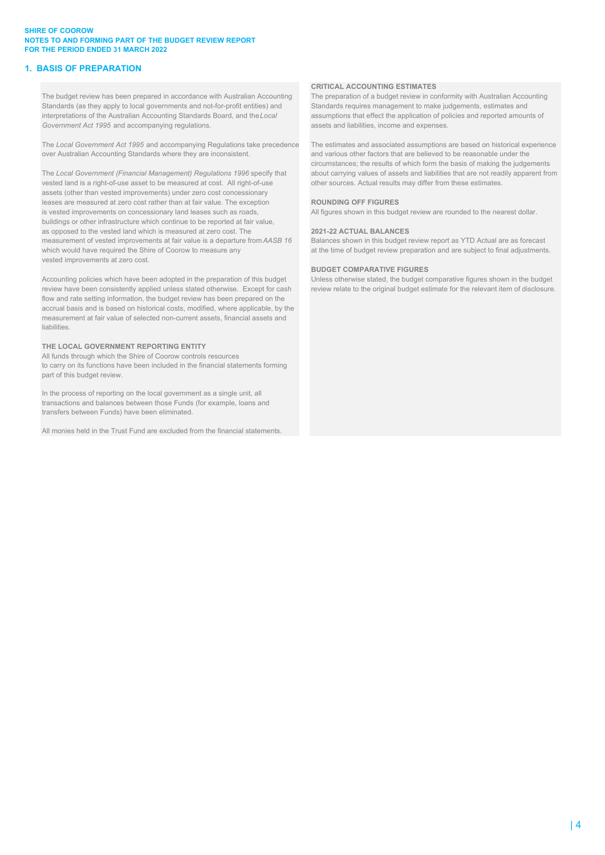### **SHIRE OF COOROW NOTES TO AND FORMING PART OF THE BUDGET REVIEW REPORT FOR THE PERIOD ENDED 31 MARCH 2022**

### **1. BASIS OF PREPARATION**

The budget review has been prepared in accordance with Australian Accounting The preparation of a budget review in conformity with Australian Accounting Standards (as they apply to local governments and not-for-profit enti Standards (as they apply to local governments and not-for-profit entities) and interpretations of the Australian Accounting Standards Board, and the *Local* assumptions that effect the application of policies and reported amounts of Government Act 1995 and accompanying regulations. **Accord 2016** assets and liabilities, income and expenses.

The *Local Government Act 1995* and accompanying Regulations take precedence The estimates and associated assumptions are based on historical experience over Australian Accounting Standards where they are inconsistent. and various other factors that are believed to be reasonable under the

vested land is a right-of-use asset to be measured at cost. All right-of-use other sources. Actual results may differ from these estimates. assets (other than vested improvements) under zero cost concessionary leases are measured at zero cost rather than at fair value. The exception **ROUNDING OFF FIGURES** is vested improvements on concessionary land leases such as roads. All figures shown in this budget review are rounded to the nearest dollar. buildings or other infrastructure which continue to be reported at fair value, as opposed to the vested land which is measured at zero cost. The **2021-22 ACTUAL BALANCES** measurement of vested improvements at fair value is a departure from *AASB 16* Balances shown in this budget review report as YTD Actual are as forecast which would have required the Shire of Coorow to measure any at the time of budget review preparation and are subject to final adjustments. vested improvements at zero cost.

Accounting policies which have been adopted in the preparation of this budget Unless otherwise stated, the budget comparative figures shown in the budget review have been consistently applied unless stated otherwise. Except for cash review relate to the original budget estimate for the relevant item of disclosure. flow and rate setting information, the budget review has been prepared on the accrual basis and is based on historical costs, modified, where applicable, by the measurement at fair value of selected non-current assets, financial assets and liabilities.

### **THE LOCAL GOVERNMENT REPORTING ENTITY**

All funds through which the Shire of Coorow controls resources to carry on its functions have been included in the financial statements forming part of this budget review.

In the process of reporting on the local government as a single unit, all transactions and balances between those Funds (for example, loans and transfers between Funds) have been eliminated.

All monies held in the Trust Fund are excluded from the financial statements.

#### **CRITICAL ACCOUNTING ESTIMATES**

circumstances; the results of which form the basis of making the judgements The *Local Government (Financial Management) Regulations 1996* specify that about carrying values of assets and liabilities that are not readily apparent from

#### **BUDGET COMPARATIVE FIGURES**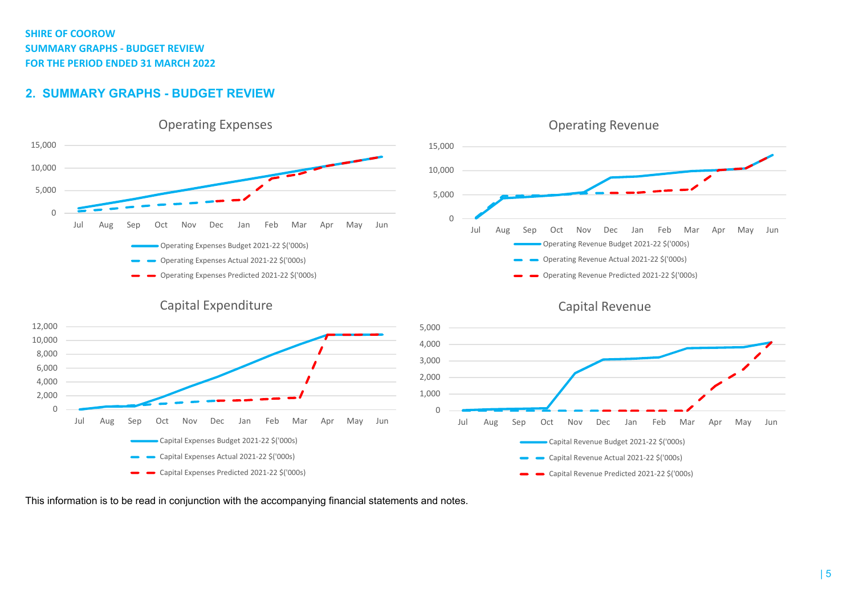## **SHIRE OF COOROWSUMMARY GRAPHS ‐ BUDGET REVIEW FOR THE PERIOD ENDED 31 MARCH 2022**

## **2. SUMMARY GRAPHS - BUDGET REVIEW**





## Capital Expenditure





This information is to be read in conjunction with the accompanying financial statements and notes.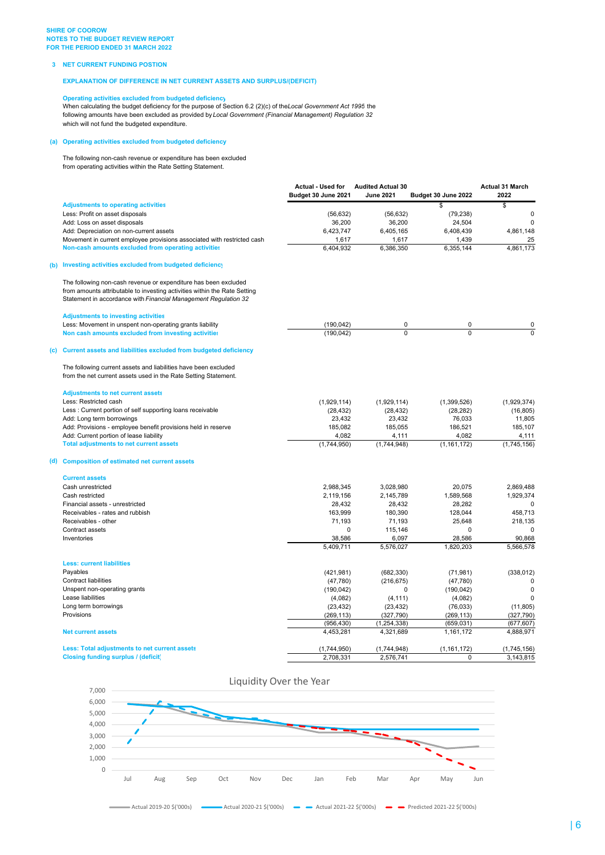#### **3 NET CURRENT FUNDING POSTION**

**EXPLANATION OF DIFFERENCE IN NET CURRENT ASSETS AND SURPLUS/(DEFICIT)**

#### **Operating activities excluded from budgeted deficiency**

When calculating the budget deficiency for the purpose of Section 6.2 (2)(c) of the*Local Government Act 1995* the following amounts have been excluded as provided by *Local Government (Financial Management) Regulation 32* which will not fund the budgeted expenditure.

### **(a) Operating activities excluded from budgeted deficiency**

The following non-cash revenue or expenditure has been excluded from operating activities within the Rate Setting Statement.

|     |                                                                                                                                                                                                                 | <b>Actual - Used for</b><br>Budget 30 June 2021 | <b>Audited Actual 30</b><br><b>June 2021</b> | Budget 30 June 2022 | <b>Actual 31 March</b><br>2022 |
|-----|-----------------------------------------------------------------------------------------------------------------------------------------------------------------------------------------------------------------|-------------------------------------------------|----------------------------------------------|---------------------|--------------------------------|
|     | <b>Adjustments to operating activities</b>                                                                                                                                                                      |                                                 |                                              | \$                  | \$                             |
|     | Less: Profit on asset disposals                                                                                                                                                                                 | (56, 632)                                       | (56, 632)                                    | (79, 238)           | $\mathbf 0$                    |
|     | Add: Loss on asset disposals                                                                                                                                                                                    | 36,200                                          | 36,200                                       | 24,504              | $\mathbf 0$                    |
|     | Add: Depreciation on non-current assets                                                                                                                                                                         | 6.423.747                                       | 6.405.165                                    | 6,408,439           | 4,861,148                      |
|     | Movement in current employee provisions associated with restricted cash                                                                                                                                         | 1,617                                           | 1,617                                        | 1,439               | 25                             |
|     | Non-cash amounts excluded from operating activities                                                                                                                                                             | 6,404,932                                       | 6,386,350                                    | 6,355,144           | 4,861,173                      |
| (b) | Investing activities excluded from budgeted deficiency                                                                                                                                                          |                                                 |                                              |                     |                                |
|     | The following non-cash revenue or expenditure has been excluded<br>from amounts attributable to investing activities within the Rate Setting<br>Statement in accordance with Financial Management Regulation 32 |                                                 |                                              |                     |                                |
|     | <b>Adjustments to investing activities</b>                                                                                                                                                                      |                                                 |                                              |                     |                                |
|     | Less: Movement in unspent non-operating grants liability                                                                                                                                                        | (190, 042)                                      | 0                                            | 0                   | 0                              |
|     | Non cash amounts excluded from investing activities                                                                                                                                                             | (190, 042)                                      | $\Omega$                                     | 0                   | $\overline{0}$                 |
| C)  | Current assets and liabilities excluded from budgeted deficiency                                                                                                                                                |                                                 |                                              |                     |                                |
|     | The following current assets and liabilities have been excluded<br>from the net current assets used in the Rate Setting Statement.                                                                              |                                                 |                                              |                     |                                |
|     | <b>Adjustments to net current assets</b>                                                                                                                                                                        |                                                 |                                              |                     |                                |
|     | Less: Restricted cash                                                                                                                                                                                           | (1,929,114)                                     | (1,929,114)                                  | (1, 399, 526)       | (1,929,374)                    |
|     | Less: Current portion of self supporting loans receivable                                                                                                                                                       | (28, 432)                                       | (28, 432)                                    | (28, 282)           | (16, 805)                      |
|     | Add: Long term borrowings                                                                                                                                                                                       | 23,432                                          | 23,432                                       | 76,033              | 11,805                         |
|     | Add: Provisions - employee benefit provisions held in reserve                                                                                                                                                   | 185,082                                         | 185,055                                      | 186,521             | 185,107                        |
|     | Add: Current portion of lease liability                                                                                                                                                                         | 4.082                                           | 4,111                                        | 4.082               | 4,111                          |
|     | <b>Total adjustments to net current assets</b>                                                                                                                                                                  | (1,744,950)                                     | (1,744,948)                                  | (1, 161, 172)       | (1,745,156)                    |
| d)  | <b>Composition of estimated net current assets</b>                                                                                                                                                              |                                                 |                                              |                     |                                |
|     | <b>Current assets</b>                                                                                                                                                                                           |                                                 |                                              |                     |                                |
|     | Cash unrestricted                                                                                                                                                                                               | 2,988,345                                       | 3,028,980                                    | 20,075              | 2,869,488                      |
|     | Cash restricted                                                                                                                                                                                                 | 2,119,156                                       | 2,145,789                                    | 1,589,568           | 1,929,374                      |
|     | Financial assets - unrestricted<br>Receivables - rates and rubbish                                                                                                                                              | 28,432                                          | 28,432                                       | 28,282              | $\mathbf 0$                    |
|     |                                                                                                                                                                                                                 | 163,999                                         | 180,390                                      | 128,044             | 458.713                        |
|     | Receivables - other<br>Contract assets                                                                                                                                                                          | 71,193                                          | 71,193                                       | 25,648              | 218,135                        |
|     | Inventories                                                                                                                                                                                                     | 0<br>38,586                                     | 115,146<br>6,097                             | 0<br>28,586         | $\mathbf 0$<br>90,868          |
|     |                                                                                                                                                                                                                 | 5,409,711                                       | 5,576,027                                    | 1,820,203           | 5,566,578                      |
|     | <b>Less: current liabilities</b>                                                                                                                                                                                |                                                 |                                              |                     |                                |
|     | Payables                                                                                                                                                                                                        | (421, 981)                                      | (682, 330)                                   | (71, 981)           | (338, 012)                     |
|     | <b>Contract liabilities</b>                                                                                                                                                                                     | (47,780)                                        | (216, 675)                                   | (47, 780)           | $\mathbf 0$                    |
|     | Unspent non-operating grants                                                                                                                                                                                    | (190, 042)                                      | $\Omega$                                     | (190, 042)          | $\mathbf 0$                    |
|     | Lease liabilities                                                                                                                                                                                               | (4,082)                                         | (4, 111)                                     | (4,082)             | $\mathbf 0$                    |
|     | Long term borrowings                                                                                                                                                                                            | (23, 432)                                       | (23, 432)                                    | (76, 033)           | (11, 805)                      |
|     | Provisions                                                                                                                                                                                                      | (269, 113)                                      | (327, 790)                                   | (269, 113)          | (327, 790)                     |
|     |                                                                                                                                                                                                                 | (956, 430)                                      | (1, 254, 338)                                | (659, 031)          | (677, 607)                     |
|     | <b>Net current assets</b>                                                                                                                                                                                       | 4,453,281                                       | 4,321,689                                    | 1,161,172           | 4,888,971                      |
|     | Less: Total adjustments to net current assets                                                                                                                                                                   | (1,744,950)                                     | (1,744,948)                                  | (1, 161, 172)       | (1,745,156)                    |
|     | <b>Closing funding surplus / (deficit)</b>                                                                                                                                                                      | 2,708,331                                       | 2,576,741                                    | 0                   | 3,143,815                      |

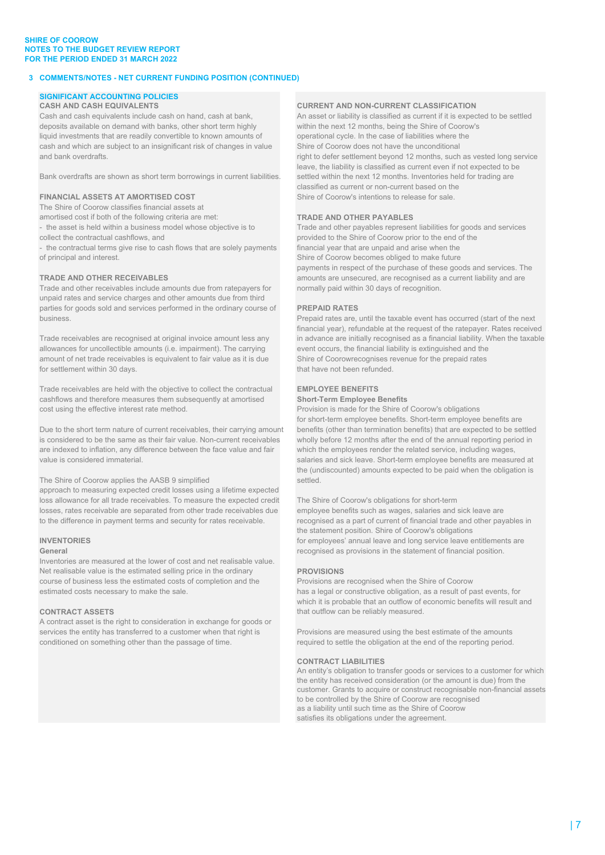### **SHIRE OF COOROW NOTES TO THE BUDGET REVIEW REPORT FOR THE PERIOD ENDED 31 MARCH 2022**

### **3 COMMENTS/NOTES - NET CURRENT FUNDING POSITION (CONTINUED)**

# **SIGNIFICANT ACCOUNTING POLICIES**

Cash and cash equivalents include cash on hand, cash at bank, An asset or liability is classified as current if it is expected to be settled deposits available on demand with banks, other short term highly within the next 12 months, being the Shire of Coorow's liquid investments that are readily convertible to known amounts of operational cycle. In the case of liabilities where the cash and which are subject to an insignificant risk of changes in value Shire of Coorow does not have the unconditional

Bank overdrafts are shown as short term borrowings in current liabilities. settled within the next 12 months. Inventories held for trading are

The Shire of Coorow classifies financial assets at

amortised cost if both of the following criteria are met: **TRADE AND OTHER PAYABLES**

- 
- 
- the contractual terms give rise to cash flows that are solely payments financial year that are unpaid and arise when the of principal and interest. Shire of Coorow becomes obliged to make future

Trade and other receivables include amounts due from ratepayers for normally paid within 30 days of recognition. unpaid rates and service charges and other amounts due from third parties for goods sold and services performed in the ordinary course of **PREPAID RATES** business. Prepaid rates are, until the taxable event has occurred (start of the next

allowances for uncollectible amounts (i.e. impairment). The carrying event occurs, the financial liability is extinguished and the amount of net trade receivables is equivalent to fair value as it is due Shire of Coorowrecognises revenue for the prepaid rates for settlement within 30 days. that have not been refunded.

Trade receivables are held with the objective to collect the contractual **EMPLOYEE BENEFITS** cashflows and therefore measures them subsequently at amortised **Short-Term Employee Benefits** cost using the effective interest rate method. Provision is made for the Shire of Coorow's obligations

is considered to be the same as their fair value. Non-current receivables wholly before 12 months after the end of the annual reporting period in are indexed to inflation, any difference between the face value and fair which the employees render the related service, including wages,

### The Shire of Coorow applies the AASB 9 simplified settled.

approach to measuring expected credit losses using a lifetime expected loss allowance for all trade receivables. To measure the expected credit The Shire of Coorow's obligations for short-term losses, rates receivable are separated from other trade receivables due employee benefits such as wages, salaries and sick leave are to the difference in payment terms and security for rates receivable. recognised as a part of current of financial trade and other payables in

Inventories are measured at the lower of cost and net realisable value. Net realisable value is the estimated selling price in the ordinary **PROVISIONS** course of business less the estimated costs of completion and the Provisions are recognised when the Shire of Coorow estimated costs necessary to make the sale. https://www.has a legal or constructive obligation, as a result of past events, for

A contract asset is the right to consideration in exchange for goods or services the entity has transferred to a customer when that right is Provisions are measured using the best estimate of the amounts conditioned on something other than the passage of time. The required to settle the obligation at the end of the reporting period.

### **CURRENT AND NON-CURRENT CLASSIFICATION**

and bank overdrafts. The control of the control of the control of the control of the control of the control of the control of the control of the control of the control of the control of the control of the control of the co leave, the liability is classified as current even if not expected to be classified as current or non-current based on the **FINANCIAL ASSETS AT AMORTISED COST** Shire of Coorow's intentions to release for sale.

- the asset is held within a business model whose objective is to Trade and other payables represent liabilities for goods and services collect the contractual cashflows, and provided to the Shire of Coorow prior to the end of the payments in respect of the purchase of these goods and services. The **TRADE AND OTHER RECEIVABLES** amounts are unsecured, are recognised as a current liability and are

financial year), refundable at the request of the ratepayer. Rates received Trade receivables are recognised at original invoice amount less any in advance are initially recognised as a financial liability. When the taxable

for short-term employee benefits. Short-term employee benefits are Due to the short term nature of current receivables, their carrying amount benefits (other than termination benefits) that are expected to be settled value is considered immaterial. salaries and sick leave. Short-term employee benefits are measured at the (undiscounted) amounts expected to be paid when the obligation is

the statement position. Shire of Coorow's obligations **INVENTORIES INVENTORIES** *INVENTORIES INVENTORIES INVENTORIES INVENTORIES INVENTORIES INVENTORIES INVENTORIES INVENTORIES INVENTORIES INVENTORIES INVENTORIES INVENTORIES* recognised as provisions in the statement of financial position.

which it is probable that an outflow of economic benefits will result and **CONTRACT ASSETS CONTRACT ASSETS that outflow can be reliably measured.** 

### **CONTRACT LIABILITIES**

An entity's obligation to transfer goods or services to a customer for which the entity has received consideration (or the amount is due) from the customer. Grants to acquire or construct recognisable non-financial assets to be controlled by the Shire of Coorow are recognised as a liability until such time as the Shire of Coorow satisfies its obligations under the agreement.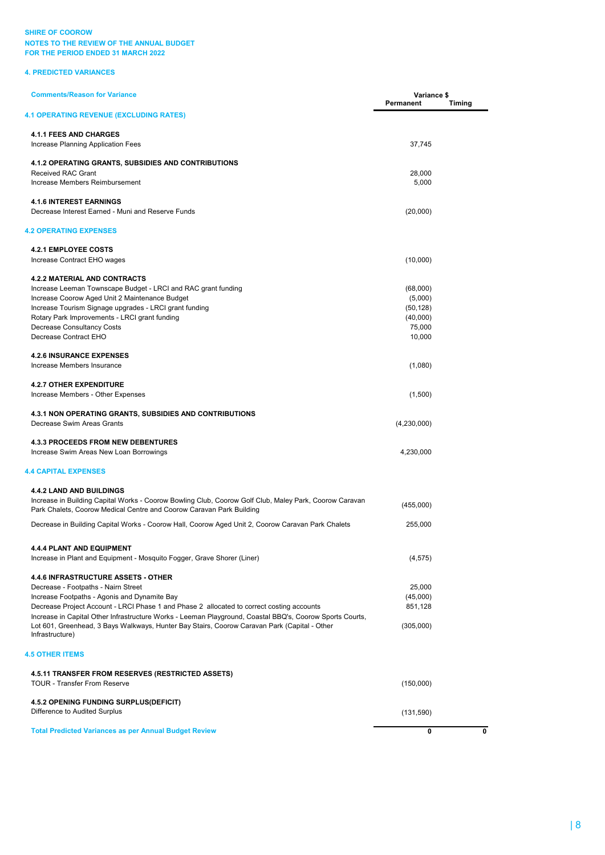### **4. PREDICTED VARIANCES**

| <b>Comments/Reason for Variance</b>                                                                                                                                            | Variance \$<br>Permanent | <b>Timing</b> |
|--------------------------------------------------------------------------------------------------------------------------------------------------------------------------------|--------------------------|---------------|
| <b>4.1 OPERATING REVENUE (EXCLUDING RATES)</b>                                                                                                                                 |                          |               |
| <b>4.1.1 FEES AND CHARGES</b>                                                                                                                                                  |                          |               |
| Increase Planning Application Fees                                                                                                                                             | 37,745                   |               |
| 4.1.2 OPERATING GRANTS, SUBSIDIES AND CONTRIBUTIONS                                                                                                                            |                          |               |
| Received RAC Grant                                                                                                                                                             | 28,000                   |               |
| Increase Members Reimbursement                                                                                                                                                 | 5,000                    |               |
| <b>4.1.6 INTEREST EARNINGS</b>                                                                                                                                                 |                          |               |
| Decrease Interest Earned - Muni and Reserve Funds                                                                                                                              | (20,000)                 |               |
| <b>4.2 OPERATING EXPENSES</b>                                                                                                                                                  |                          |               |
| <b>4.2.1 EMPLOYEE COSTS</b>                                                                                                                                                    |                          |               |
| Increase Contract EHO wages                                                                                                                                                    | (10,000)                 |               |
| <b>4.2.2 MATERIAL AND CONTRACTS</b>                                                                                                                                            |                          |               |
| Increase Leeman Townscape Budget - LRCI and RAC grant funding                                                                                                                  | (68,000)                 |               |
| Increase Coorow Aged Unit 2 Maintenance Budget                                                                                                                                 | (5,000)                  |               |
| Increase Tourism Signage upgrades - LRCI grant funding                                                                                                                         | (50, 128)                |               |
| Rotary Park Improvements - LRCI grant funding                                                                                                                                  | (40,000)                 |               |
| <b>Decrease Consultancy Costs</b>                                                                                                                                              | 75,000                   |               |
| Decrease Contract EHO                                                                                                                                                          | 10,000                   |               |
| <b>4.2.6 INSURANCE EXPENSES</b>                                                                                                                                                |                          |               |
| Increase Members Insurance                                                                                                                                                     | (1,080)                  |               |
| <b>4.2.7 OTHER EXPENDITURE</b>                                                                                                                                                 |                          |               |
| Increase Members - Other Expenses                                                                                                                                              | (1,500)                  |               |
| 4.3.1 NON OPERATING GRANTS, SUBSIDIES AND CONTRIBUTIONS                                                                                                                        |                          |               |
| Decrease Swim Areas Grants                                                                                                                                                     | (4,230,000)              |               |
| <b>4.3.3 PROCEEDS FROM NEW DEBENTURES</b>                                                                                                                                      |                          |               |
| Increase Swim Areas New Loan Borrowings                                                                                                                                        | 4,230,000                |               |
| <b>4.4 CAPITAL EXPENSES</b>                                                                                                                                                    |                          |               |
| <b>4.4.2 LAND AND BUILDINGS</b>                                                                                                                                                |                          |               |
| Increase in Building Capital Works - Coorow Bowling Club, Coorow Golf Club, Maley Park, Coorow Caravan<br>Park Chalets, Coorow Medical Centre and Coorow Caravan Park Building | (455,000)                |               |
| Decrease in Building Capital Works - Coorow Hall, Coorow Aged Unit 2, Coorow Caravan Park Chalets                                                                              | 255,000                  |               |
| 4.4.4 PLANT AND EQUIPMENT                                                                                                                                                      |                          |               |
| Increase in Plant and Equipment - Mosquito Fogger, Grave Shorer (Liner)                                                                                                        | (4, 575)                 |               |
| <b>4.4.6 INFRASTRUCTURE ASSETS - OTHER</b>                                                                                                                                     |                          |               |
| Decrease - Footpaths - Nairn Street                                                                                                                                            | 25,000                   |               |
|                                                                                                                                                                                | (45,000)                 |               |
| Increase Footpaths - Agonis and Dynamite Bay<br>Decrease Project Account - LRCI Phase 1 and Phase 2 allocated to correct costing accounts                                      | 851,128                  |               |
| Increase in Capital Other Infrastructure Works - Leeman Playground, Coastal BBQ's, Coorow Sports Courts,                                                                       |                          |               |
| Lot 601, Greenhead, 3 Bays Walkways, Hunter Bay Stairs, Coorow Caravan Park (Capital - Other<br>Infrastructure)                                                                | (305,000)                |               |
| <b>4.5 OTHER ITEMS</b>                                                                                                                                                         |                          |               |
| 4.5.11 TRANSFER FROM RESERVES (RESTRICTED ASSETS)                                                                                                                              |                          |               |
| <b>TOUR - Transfer From Reserve</b>                                                                                                                                            | (150,000)                |               |
| 4.5.2 OPENING FUNDING SURPLUS(DEFICIT)                                                                                                                                         |                          |               |
| Difference to Audited Surplus                                                                                                                                                  | (131, 590)               |               |
| <b>Total Predicted Variances as per Annual Budget Review</b>                                                                                                                   | 0                        |               |
|                                                                                                                                                                                |                          |               |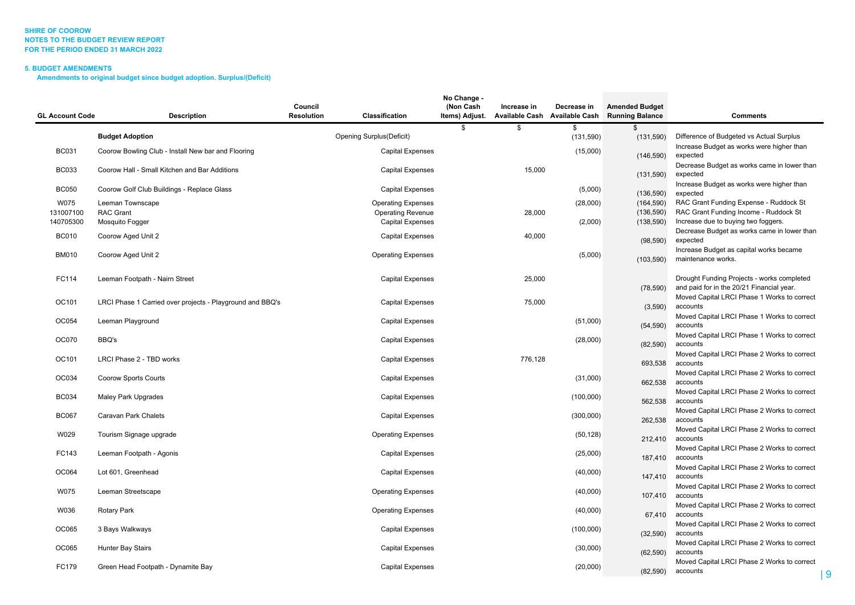#### **SHIRE OF COOROW NOTES TO THE BUDGET REVIEW REPORTFOR THE PERIOD ENDED 31 MARCH 2022**

### **5. BUDGET AMENDMENTS**

**Amendments to original budget since budget adoption. Surplus/(Deficit)**

| <b>GL Account Code</b> | <b>Description</b>                                        | Council<br><b>Resolution</b> | Classification            | No Change -<br>(Non Cash<br>Items) Adjust. | Increase in<br><b>Available Cash</b> | Decrease in<br><b>Available Cash</b> | <b>Amended Budget</b><br><b>Running Balance</b> | <b>Comments</b>                                                                         |
|------------------------|-----------------------------------------------------------|------------------------------|---------------------------|--------------------------------------------|--------------------------------------|--------------------------------------|-------------------------------------------------|-----------------------------------------------------------------------------------------|
|                        |                                                           |                              |                           | S.                                         | \$                                   | \$                                   | \$                                              |                                                                                         |
|                        | <b>Budget Adoption</b>                                    |                              | Opening Surplus(Deficit)  |                                            |                                      | (131, 590)                           | (131,590)                                       | Difference of Budgeted vs Actual Surplus                                                |
| <b>BC031</b>           | Coorow Bowling Club - Install New bar and Flooring        |                              | <b>Capital Expenses</b>   |                                            |                                      | (15,000)                             | (146, 590)                                      | Increase Budget as works were higher than<br>expected                                   |
| <b>BC033</b>           | Coorow Hall - Small Kitchen and Bar Additions             |                              | <b>Capital Expenses</b>   |                                            | 15,000                               |                                      | (131,590)                                       | Decrease Budget as works came in lower than<br>expected                                 |
| <b>BC050</b>           | Coorow Golf Club Buildings - Replace Glass                |                              | <b>Capital Expenses</b>   |                                            |                                      | (5,000)                              | (136, 590)                                      | Increase Budget as works were higher than<br>expected                                   |
| W075                   | Leeman Townscape                                          |                              | <b>Operating Expenses</b> |                                            |                                      | (28,000)                             | (164, 590)                                      | RAC Grant Funding Expense - Ruddock St                                                  |
| 131007100              | <b>RAC Grant</b>                                          |                              | <b>Operating Revenue</b>  |                                            | 28,000                               |                                      | (136, 590)                                      | RAC Grant Funding Income - Ruddock St                                                   |
| 140705300              | Mosquito Fogger                                           |                              | <b>Capital Expenses</b>   |                                            |                                      | (2,000)                              | (138, 590)                                      | Increase due to buying two foggers.                                                     |
| <b>BC010</b>           | Coorow Aged Unit 2                                        |                              | <b>Capital Expenses</b>   |                                            | 40,000                               |                                      | (98, 590)                                       | Decrease Budget as works came in lower than<br>expected                                 |
| <b>BM010</b>           | Coorow Aged Unit 2                                        |                              | <b>Operating Expenses</b> |                                            |                                      | (5,000)                              | (103, 590)                                      | Increase Budget as capital works became<br>maintenance works.                           |
| FC114                  | Leeman Footpath - Nairn Street                            |                              | <b>Capital Expenses</b>   |                                            | 25,000                               |                                      | (78, 590)                                       | Drought Funding Projects - works completed<br>and paid for in the 20/21 Financial year. |
| OC101                  | LRCI Phase 1 Carried over projects - Playground and BBQ's |                              | <b>Capital Expenses</b>   |                                            | 75,000                               |                                      | (3,590)                                         | Moved Capital LRCI Phase 1 Works to correct<br>accounts                                 |
| OC054                  | Leeman Playground                                         |                              | <b>Capital Expenses</b>   |                                            |                                      | (51,000)                             | (54, 590)                                       | Moved Capital LRCI Phase 1 Works to correct<br>accounts                                 |
| <b>OC070</b>           | BBQ's                                                     |                              | <b>Capital Expenses</b>   |                                            |                                      | (28,000)                             | (82, 590)                                       | Moved Capital LRCI Phase 1 Works to correct<br>accounts                                 |
| OC101                  | LRCI Phase 2 - TBD works                                  |                              | <b>Capital Expenses</b>   |                                            | 776,128                              |                                      | 693,538                                         | Moved Capital LRCI Phase 2 Works to correct<br>accounts                                 |
| OC034                  | Coorow Sports Courts                                      |                              | <b>Capital Expenses</b>   |                                            |                                      | (31,000)                             | 662,538                                         | Moved Capital LRCI Phase 2 Works to correct<br>accounts                                 |
| <b>BC034</b>           | Maley Park Upgrades                                       |                              | <b>Capital Expenses</b>   |                                            |                                      | (100,000)                            | 562,538                                         | Moved Capital LRCI Phase 2 Works to correct<br>accounts                                 |
| <b>BC067</b>           | Caravan Park Chalets                                      |                              | <b>Capital Expenses</b>   |                                            |                                      | (300,000)                            | 262,538                                         | Moved Capital LRCI Phase 2 Works to correct<br>accounts                                 |
| W029                   | Tourism Signage upgrade                                   |                              | <b>Operating Expenses</b> |                                            |                                      | (50, 128)                            | 212,410                                         | Moved Capital LRCI Phase 2 Works to correct<br>accounts                                 |
| FC143                  | Leeman Footpath - Agonis                                  |                              | <b>Capital Expenses</b>   |                                            |                                      | (25,000)                             | 187,410                                         | Moved Capital LRCI Phase 2 Works to correct<br>accounts                                 |
| OC064                  | Lot 601, Greenhead                                        |                              | <b>Capital Expenses</b>   |                                            |                                      | (40,000)                             | 147,410                                         | Moved Capital LRCI Phase 2 Works to correct<br>accounts                                 |
| W075                   | Leeman Streetscape                                        |                              | <b>Operating Expenses</b> |                                            |                                      | (40,000)                             | 107,410                                         | Moved Capital LRCI Phase 2 Works to correct<br>accounts                                 |
| W036                   | Rotary Park                                               |                              | <b>Operating Expenses</b> |                                            |                                      | (40,000)                             | 67,410                                          | Moved Capital LRCI Phase 2 Works to correct<br>accounts                                 |
| OC065                  | 3 Bays Walkways                                           |                              | <b>Capital Expenses</b>   |                                            |                                      | (100,000)                            | (32, 590)                                       | Moved Capital LRCI Phase 2 Works to correct<br>accounts                                 |
| OC065                  | <b>Hunter Bay Stairs</b>                                  |                              | <b>Capital Expenses</b>   |                                            |                                      | (30,000)                             | (62, 590)                                       | Moved Capital LRCI Phase 2 Works to correct<br>accounts                                 |
| FC179                  | Green Head Footpath - Dynamite Bay                        |                              | <b>Capital Expenses</b>   |                                            |                                      | (20,000)                             | (82, 590)                                       | Moved Capital LRCI Phase 2 Works to correct<br>accounts<br>g                            |